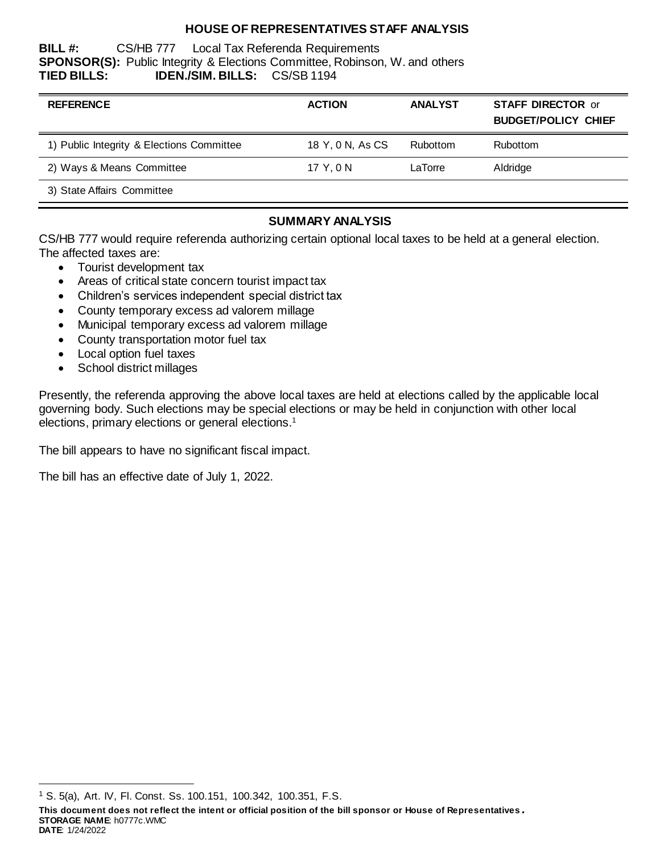# **HOUSE OF REPRESENTATIVES STAFF ANALYSIS**

**BILL #:** CS/HB 777 Local Tax Referenda Requirements **SPONSOR(S):** Public Integrity & Elections Committee, Robinson, W. and others **TIED BILLS: IDEN./SIM. BILLS:** CS/SB 1194

| <b>REFERENCE</b>                          | <b>ACTION</b>    | <b>ANALYST</b> | <b>STAFF DIRECTOR or</b><br><b>BUDGET/POLICY CHIEF</b> |
|-------------------------------------------|------------------|----------------|--------------------------------------------------------|
| 1) Public Integrity & Elections Committee | 18 Y, 0 N, As CS | Rubottom       | <b>Rubottom</b>                                        |
| 2) Ways & Means Committee                 | 17 Y, 0 N        | LaTorre        | Aldridge                                               |
| 3) State Affairs Committee                |                  |                |                                                        |

# **SUMMARY ANALYSIS**

CS/HB 777 would require referenda authorizing certain optional local taxes to be held at a general election. The affected taxes are:

- Tourist development tax
- Areas of critical state concern tourist impact tax
- Children's services independent special district tax
- County temporary excess ad valorem millage
- Municipal temporary excess ad valorem millage
- County transportation motor fuel tax
- Local option fuel taxes
- School district millages

 $\overline{a}$ 

Presently, the referenda approving the above local taxes are held at elections called by the applicable local governing body. Such elections may be special elections or may be held in conjunction with other local elections, primary elections or general elections.<sup>1</sup>

The bill appears to have no significant fiscal impact.

The bill has an effective date of July 1, 2022.

**This document does not reflect the intent or official position of the bill sponsor or House of Representatives** *.* **STORAGE NAME**: h0777c.WMC **DATE**: 1/24/2022 <sup>1</sup> S. 5(a), Art. IV, Fl. Const. Ss. 100.151, 100.342, 100.351, F.S.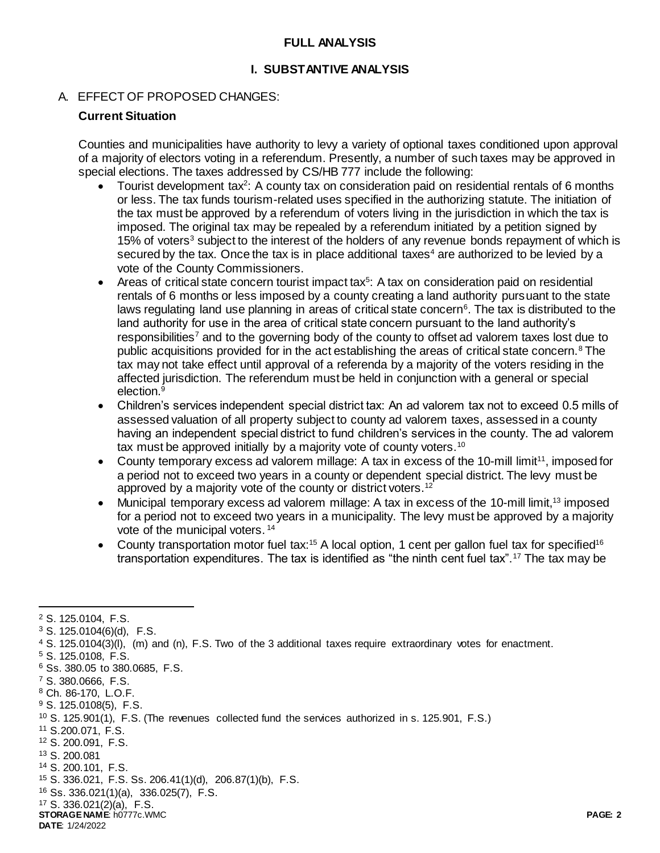## **FULL ANALYSIS**

## **I. SUBSTANTIVE ANALYSIS**

### A. EFFECT OF PROPOSED CHANGES:

### **Current Situation**

Counties and municipalities have authority to levy a variety of optional taxes conditioned upon approval of a majority of electors voting in a referendum. Presently, a number of such taxes may be approved in special elections. The taxes addressed by CS/HB 777 include the following:

- Tourist development tax<sup>2</sup>: A county tax on consideration paid on residential rentals of 6 months or less. The tax funds tourism-related uses specified in the authorizing statute. The initiation of the tax must be approved by a referendum of voters living in the jurisdiction in which the tax is imposed. The original tax may be repealed by a referendum initiated by a petition signed by 15% of voters<sup>3</sup> subject to the interest of the holders of any revenue bonds repayment of which is secured by the tax. Once the tax is in place additional taxes<sup>4</sup> are authorized to be levied by a vote of the County Commissioners.
- Areas of critical state concern tourist impact tax<sup>5</sup>: A tax on consideration paid on residential rentals of 6 months or less imposed by a county creating a land authority pursuant to the state laws regulating land use planning in areas of critical state concern<sup>6</sup>. The tax is distributed to the land authority for use in the area of critical state concern pursuant to the land authority's responsibilities<sup> $7$ </sup> and to the governing body of the county to offset ad valorem taxes lost due to public acquisitions provided for in the act establishing the areas of critical state concern.<sup>8</sup> The tax may not take effect until approval of a referenda by a majority of the voters residing in the affected jurisdiction. The referendum must be held in conjunction with a general or special election.<sup>9</sup>
- Children's services independent special district tax: An ad valorem tax not to exceed 0.5 mills of assessed valuation of all property subject to county ad valorem taxes, assessed in a county having an independent special district to fund children's services in the county. The ad valorem tax must be approved initially by a majority vote of county voters.<sup>10</sup>
- County temporary excess ad valorem millage: A tax in excess of the 10-mill limit<sup>11</sup>, imposed for a period not to exceed two years in a county or dependent special district. The levy must be approved by a majority vote of the county or district voters.<sup>12</sup>
- Municipal temporary excess ad valorem millage: A tax in excess of the 10-mill limit,<sup>13</sup> imposed for a period not to exceed two years in a municipality. The levy must be approved by a majority vote of the municipal voters. <sup>14</sup>
- County transportation motor fuel tax:<sup>15</sup> A local option, 1 cent per gallon fuel tax for specified<sup>16</sup> transportation expenditures. The tax is identified as "the ninth cent fuel tax".<sup>17</sup> The tax may be

 $\overline{a}$ 

- <sup>12</sup> S. 200.091, F.S.
- <sup>13</sup> S. 200.081

**STORAGE NAME**: h0777c.WMC **PAGE: 2 DATE**: 1/24/2022

<sup>2</sup> S. 125.0104, F.S.

 $3$  S. 125.0104(6)(d), F.S.

<sup>4</sup> S. 125.0104(3)(l), (m) and (n), F.S. Two of the 3 additional taxes require extraordinary votes for enactment.

<sup>5</sup> S. 125.0108, F.S.

<sup>6</sup> Ss. 380.05 to 380.0685, F.S.

<sup>7</sup> S. 380.0666, F.S.

<sup>8</sup> Ch. 86-170, L.O.F.

<sup>9</sup> S. 125.0108(5), F.S.

<sup>10</sup> S. 125.901(1), F.S. (The revenues collected fund the services authorized in s. 125.901, F.S.)

<sup>11</sup> S.200.071, F.S.

<sup>14</sup> S. 200.101, F.S.

<sup>15</sup> S. 336.021, F.S. Ss. 206.41(1)(d), 206.87(1)(b), F.S.

<sup>16</sup> Ss. 336.021(1)(a), 336.025(7), F.S.

<sup>17</sup> S. 336.021(2)(a), F.S.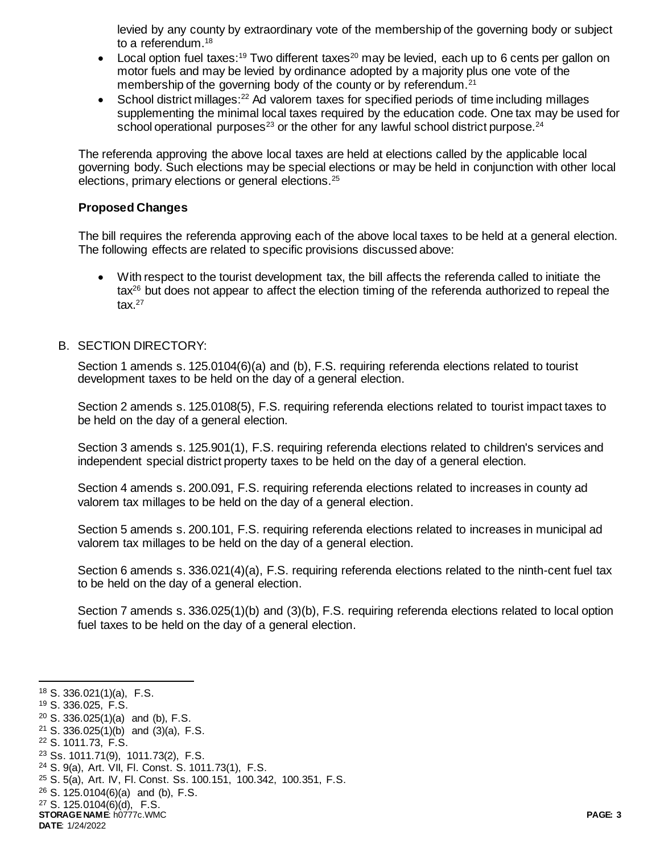levied by any county by extraordinary vote of the membership of the governing body or subject to a referendum.<sup>18</sup>

- Local option fuel taxes:<sup>19</sup> Two different taxes<sup>20</sup> may be levied, each up to 6 cents per gallon on motor fuels and may be levied by ordinance adopted by a majority plus one vote of the membership of the governing body of the county or by referendum.<sup>21</sup>
- School district millages:<sup>22</sup> Ad valorem taxes for specified periods of time including millages supplementing the minimal local taxes required by the education code. One tax may be used for school operational purposes<sup>23</sup> or the other for any lawful school district purpose.<sup>24</sup>

The referenda approving the above local taxes are held at elections called by the applicable local governing body. Such elections may be special elections or may be held in conjunction with other local elections, primary elections or general elections.<sup>25</sup>

### **Proposed Changes**

The bill requires the referenda approving each of the above local taxes to be held at a general election. The following effects are related to specific provisions discussed above:

 With respect to the tourist development tax, the bill affects the referenda called to initiate the  $tax^{26}$  but does not appear to affect the election timing of the referenda authorized to repeal the tax. 27

### B. SECTION DIRECTORY:

Section 1 amends s. 125.0104(6)(a) and (b), F.S. requiring referenda elections related to tourist development taxes to be held on the day of a general election.

Section 2 amends s. 125.0108(5), F.S. requiring referenda elections related to tourist impact taxes to be held on the day of a general election.

Section 3 amends s. 125.901(1), F.S. requiring referenda elections related to children's services and independent special district property taxes to be held on the day of a general election.

Section 4 amends s. 200.091, F.S. requiring referenda elections related to increases in county ad valorem tax millages to be held on the day of a general election.

Section 5 amends s. 200.101, F.S. requiring referenda elections related to increases in municipal ad valorem tax millages to be held on the day of a general election.

Section 6 amends s. 336.021(4)(a), F.S. requiring referenda elections related to the ninth-cent fuel tax to be held on the day of a general election.

Section 7 amends s. 336.025(1)(b) and (3)(b), F.S. requiring referenda elections related to local option fuel taxes to be held on the day of a general election.

l

<sup>18</sup> S. 336.021(1)(a), F.S.

<sup>19</sup> S. 336.025, F.S.

 $20$  S. 336.025(1)(a) and (b), F.S.

 $21$  S. 336.025(1)(b) and (3)(a), F.S.

<sup>22</sup> S. 1011.73, F.S.

<sup>23</sup> Ss. 1011.71(9), 1011.73(2), F.S.

<sup>24</sup> S. 9(a), Art. VII, Fl. Const. S. 1011.73(1), F.S. <sup>25</sup> S. 5(a), Art. IV, Fl. Const. Ss. 100.151, 100.342, 100.351, F.S.

 $26$  S. 125.0104(6)(a) and (b), F.S.

**STORAGE NAME**: h0777c.WMC **PAGE: 3** <sup>27</sup> S. 125.0104(6)(d), F.S.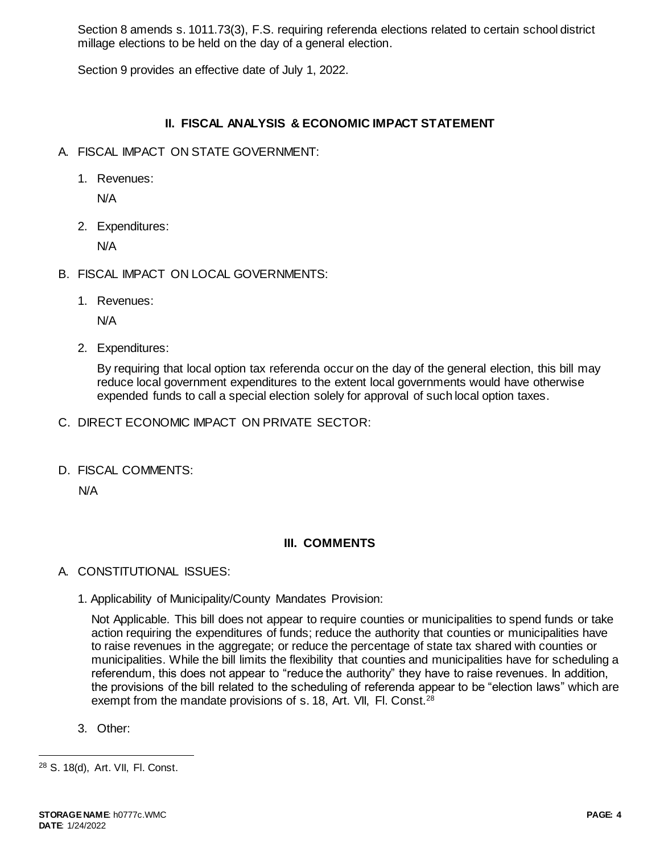Section 8 amends s. 1011.73(3), F.S. requiring referenda elections related to certain school district millage elections to be held on the day of a general election.

Section 9 provides an effective date of July 1, 2022.

# **II. FISCAL ANALYSIS & ECONOMIC IMPACT STATEMENT**

- A. FISCAL IMPACT ON STATE GOVERNMENT:
	- 1. Revenues:

N/A

2. Expenditures:

N/A

- B. FISCAL IMPACT ON LOCAL GOVERNMENTS:
	- 1. Revenues:

N/A

2. Expenditures:

By requiring that local option tax referenda occur on the day of the general election, this bill may reduce local government expenditures to the extent local governments would have otherwise expended funds to call a special election solely for approval of such local option taxes.

- C. DIRECT ECONOMIC IMPACT ON PRIVATE SECTOR:
- D. FISCAL COMMENTS:

N/A

## **III. COMMENTS**

- A. CONSTITUTIONAL ISSUES:
	- 1. Applicability of Municipality/County Mandates Provision:

Not Applicable. This bill does not appear to require counties or municipalities to spend funds or take action requiring the expenditures of funds; reduce the authority that counties or municipalities have to raise revenues in the aggregate; or reduce the percentage of state tax shared with counties or municipalities. While the bill limits the flexibility that counties and municipalities have for scheduling a referendum, this does not appear to "reduce the authority" they have to raise revenues. In addition, the provisions of the bill related to the scheduling of referenda appear to be "election laws" which are exempt from the mandate provisions of s. 18, Art. VII, FI. Const.<sup>28</sup>

3. Other:

l

<sup>28</sup> S. 18(d), Art. VII, Fl. Const.